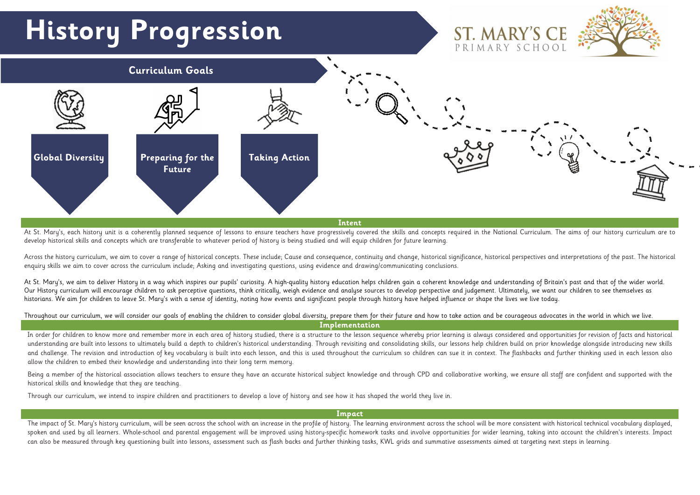

At St. Mary's, each history unit is a coherently planned sequence of lessons to ensure teachers have progressively covered the skills and concepts required in the National Curriculum. The aims of our history curriculum are develop historical skills and concepts which are transferable to whatever period of history is being studied and will equip children for future learning.

Across the history curriculum, we aim to cover a range of historical concepts. These include; Cause and consequence, continuity and change, historical significance, historical perspectives and interpretations of the past. enquiry skills we aim to cover across the curriculum include; Asking and investigating questions, using evidence and drawing/communicating conclusions.

At St. Mary's, we aim to deliver History in a way which inspires our pupils' curiosity. A high-quality history education helps children gain a coherent knowledge and understanding of Britain's past and that of the wider wo Our History curriculum will encourage children to ask perceptive questions, think critically, weigh evidence and analyse sources to develop perspective and judgement. Ultimately, we want our children to see themselves as historians. We aim for children to leave St. Mary's with a sense of identity, noting how events and significant people through history have helped influence or shape the lives we live today.

In order for children to know more and remember more in each area of history studied, there is a structure to the lesson sequence whereby prior learning is always considered and opportunities for revision of facts and hist understanding are built into lessons to ultimately build a depth to children's historical understanding. Through revisiting and consolidating skills, our lessons help children build on prior knowledge alongside introducing and challenge. The revision and introduction of key vocabulary is built into each lesson, and this is used throughout the curriculum so children can sue it in context. The flashbacks and further thinking used in each lesso allow the children to embed their knowledge and understanding into their long term memory.

Being a member of the historical association allows teachers to ensure they have an accurate historical subject knowledge and through CPD and collaborative working, we ensure all staff are confident and supported with the historical skills and knowledge that they are teaching.

Throughout our curriculum, we will consider our goals of enabling the children to consider global diversity, prepare them for their future and how to take action and be courageous advocates in the world in which we live. **Implementation**

The impact of St. Mary's history curriculum, will be seen across the school with an increase in the profile of history. The learning environment across the school will be more consistent with historical technical vocabular spoken and used by all learners. Whole-school and parental engagement will be improved using history-specific homework tasks and involve opportunities for wider learning, taking into account the children's interests. Impac can also be measured through key questioning built into lessons, assessment such as flash backs and further thinking tasks, KWL grids and summative assessments aimed at targeting next steps in learning.



Through our curriculum, we intend to inspire children and practitioners to develop a love of history and see how it has shaped the world they live in.

**Impact**

# **History Progression**

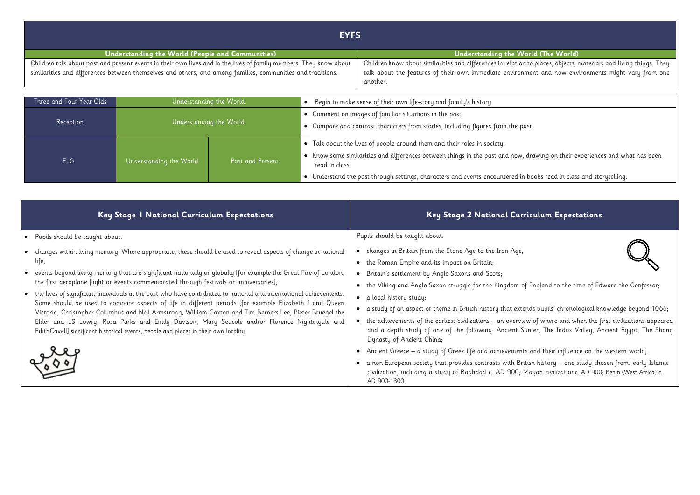| <b>EYFS</b>                                                                                                        |                                                                                    |
|--------------------------------------------------------------------------------------------------------------------|------------------------------------------------------------------------------------|
| Understanding the World (People and Communities)                                                                   | Understanding the World (The World)                                                |
| Children talk about past and present events in their own lives and in the lives of family members. They know about | Children know about similarities and differences in relation to places, objects, r |
| similarities and differences between themselves and others, and among families, communities and traditions.        | talk about the features of their own immediate environment and how env             |
|                                                                                                                    | another.                                                                           |

| Three and Four-Year-Olds |                         | Understanding the World | Begin to make sense of their own life-story and family's history.                                                                                                                                                                                               |
|--------------------------|-------------------------|-------------------------|-----------------------------------------------------------------------------------------------------------------------------------------------------------------------------------------------------------------------------------------------------------------|
| Reception                |                         | Understanding the World | • Comment on images of familiar situations in the past.<br>. Compare and contrast characters from stories, including figures from the past.                                                                                                                     |
| <b>ELG</b>               | Understanding the World | <b>Past and Present</b> | • Talk about the lives of people around them and their roles in society.<br>• Know some similarities and differences between things in the past and now, dro<br>read in class.<br>Understand the past through settings, characters and events encountered in bo |

|           | Key Stage 1 National Curriculum Expectations                                                                                                                                                                                                                                                                                                                                                                                                                                                                                       | Key Stage 2 National Curri                                                                                                                                                                                                                                 |
|-----------|------------------------------------------------------------------------------------------------------------------------------------------------------------------------------------------------------------------------------------------------------------------------------------------------------------------------------------------------------------------------------------------------------------------------------------------------------------------------------------------------------------------------------------|------------------------------------------------------------------------------------------------------------------------------------------------------------------------------------------------------------------------------------------------------------|
|           | • Pupils should be taught about:                                                                                                                                                                                                                                                                                                                                                                                                                                                                                                   | Pupils should be taught about:                                                                                                                                                                                                                             |
|           | changes within living memory. Where appropriate, these should be used to reveal aspects of change in national<br>life;                                                                                                                                                                                                                                                                                                                                                                                                             | changes in Britain from the Stone Age to the Iron Age;<br>the Roman Empire and its impact on Britain;<br>$\bullet$                                                                                                                                         |
|           | events beyond living memory that are significant nationally or globally [for example the Great Fire of London,<br>the first aeroplane flight or events commemorated through festivals or anniversaries];                                                                                                                                                                                                                                                                                                                           | Britain's settlement by Anglo-Saxons and Scots;<br>$\bullet$<br>the Viking and Anglo-Saxon struggle for the Kingdom of I<br>$\bullet$                                                                                                                      |
| $\bullet$ | the lives of significant individuals in the past who have contributed to national and international achievements.<br>Some should be used to compare aspects of life in different periods [for example Elizabeth I and Queen<br>Victoria, Christopher Columbus and Neil Armstrong, William Caxton and Tim Berners-Lee, Pieter Bruegel the<br>Elder and LS Lowry, Rosa Parks and Emily Davison, Mary Seacole and/or Florence Nightingale and<br>EdithCavell];significant historical events, people and places in their own locality. | a local history study;<br>$\bullet$<br>a study of an aspect or theme in British history that extene<br>the achievements of the earliest civilizations - an overview<br>and a depth study of one of the following: Ancient Sur<br>Dynasty of Ancient China; |
|           |                                                                                                                                                                                                                                                                                                                                                                                                                                                                                                                                    | Ancient Greece – a study of Greek life and achievements<br>$\bullet$<br>a non-European society that provides contrasts with Britis<br>civilization, including a study of Baghdad c. AD 900; Me<br>AD 900-1300.                                             |

 $\overline{\nu}$  places, objects, materials and living things. They  $\overline{\nu}$ ent and how environments might vary from one

rawing on their experiences and what has been thawing and their experiences and what has been

books read in class and storytelling.

# $\boldsymbol{\mathsf{c}}$ ulum Expectations



England to the time of Edward the Confessor;

 $\frac{1}{10}$  as pupils' chronological knowledge beyond 1066;

 $\sigma$  of where and when the first civilizations appeared  $\sigma$ mer; The Indus Valley; Ancient Egypt; The Shang

and their influence on the western world;

ish history – one study chosen from: early Islamic layan civilizationc. AD 900; Benin (West Africa) c.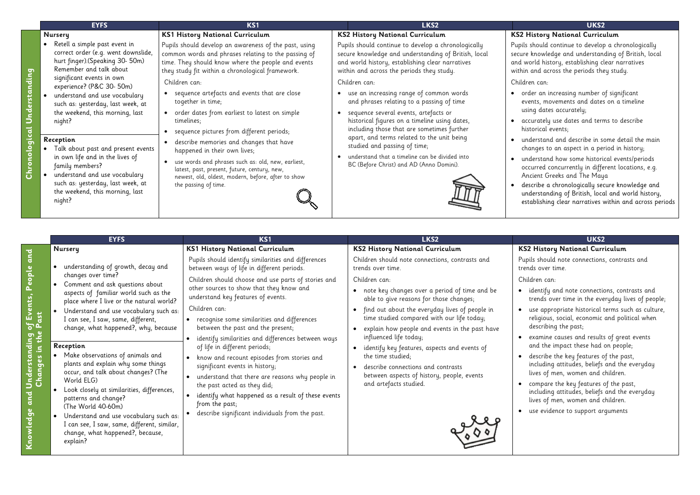- rder an increasing number of significant events, movements and dates on a timeline
- sing dates accurately;
- accurately use dates and terms to describe istorical events:
- understand and describe in some detail the main hanges to an aspect in a period in history;
- understand how some historical events/periods ccurred concurrently in different locations, e.g. Ancient Greeks and The Maya
- escribe a chronologically secure knowledge and nderstanding of British, local and world history,
- establishing clear narratives within and across periods

# **EYFS KS1 LKS2 UKS2**

|                                | <b>EYFS</b>                                                                                                                        | KS <sub>1</sub>                                                                                                                                                                                                        | LKS2                                                                                                                                                                                                         | UKS2                                                                                                                                           |
|--------------------------------|------------------------------------------------------------------------------------------------------------------------------------|------------------------------------------------------------------------------------------------------------------------------------------------------------------------------------------------------------------------|--------------------------------------------------------------------------------------------------------------------------------------------------------------------------------------------------------------|------------------------------------------------------------------------------------------------------------------------------------------------|
|                                | Nursery                                                                                                                            | <b>KS1 History National Curriculum</b>                                                                                                                                                                                 | <b>KS2 History National Curriculum</b>                                                                                                                                                                       | <b>KS2 History National Currici</b>                                                                                                            |
| င္နာ                           | Retell a simple past event in<br>correct order (e.g. went downslide,<br>hurt finger).(Speaking 30- 50m)<br>Remember and talk about | Pupils should develop an awareness of the past, using<br>common words and phrases relating to the passing of<br>time. They should know where the people and events<br>they study fit within a chronological framework. | Pupils should continue to develop a chronologically<br>secure knowledge and understanding of British, local<br>and world history, establishing clear narratives<br>within and across the periods they study. | Pupils should continue to develop<br>secure knowledge and understan<br>and world history, establishing cl<br>within and across the periods the |
|                                | significant events in own<br>experience? (P&C 30- 50m)                                                                             | Children can:                                                                                                                                                                                                          | Children can:                                                                                                                                                                                                | Children can:                                                                                                                                  |
| stan                           | understand and use vocabulary<br>such as: yesterday, last week, at<br>the weekend, this morning, last                              | sequence artefacts and events that are close<br>together in time;<br>order dates from earliest to latest on simple                                                                                                     | use an increasing range of common words<br>and phrases relating to a passing of time<br>sequence several events, artefacts or                                                                                | order an increasing number c<br>events, movements and dates<br>using dates accurately;                                                         |
|                                | night?                                                                                                                             | timelines;                                                                                                                                                                                                             | historical figures on a timeline using dates,<br>including those that are sometimes further                                                                                                                  | accurately use dates and terr<br>historical events;                                                                                            |
| $\tilde{\vec{5}}$<br>$\bullet$ | Reception<br>Talk about past and present events<br>in own life and in the lives of<br>family members?                              | sequence pictures from different periods;<br>describe memories and changes that have<br>happened in their own lives;<br>use words and phrases such as: old, new, earliest,                                             | apart, and terms related to the unit being<br>studied and passing of time;<br>understand that a timeline can be divided into<br>BC (Before Christ) and AD (Anno Domini).                                     | understand and describe in so<br>changes to an aspect in a per<br>understand how some histori<br>occurred concurrently in diffe                |
| <b>Chr</b>                     | understand and use vocabulary<br>such as: yesterday, last week, at<br>the weekend, this morning, last<br>night?                    | latest, past, present, future, century, new,<br>newest, old, oldest, modern, before, after to show<br>the passing of time.                                                                                             |                                                                                                                                                                                                              | Ancient Greeks and The May<br>describe a chronologically sed<br>understanding of British, loca<br>establishing clear narratives                |

| c      | ï |
|--------|---|
| l<br>ו | t |

**Changes in the Past**

**Nursery**

# **KS1 History National Curriculum**

Pupils should identify similarities and differences between ways of life in different periods.

Children should choose and use parts of stories and other sources to show that they know and understand key features of events.

Children can:

- recognise some similarities and differences between the past and the present;
- identify similarities and differences between ways of life in different periods;
- know and recount episodes from stories and significant events in history;
- understand that there are reasons why people in the past acted as they did;
- identify what happened as a result of these events from the past;
- describe significant individuals from the past.

# **KS2 History National Curriculum**

Children should note connections, contrasts and trends over time.

Children can:

• understanding of growth, decay and changes over time? • Comment and ask questions about aspects of familiar world such as the place where I live or the natural world? • Understand and use vocabulary such as: I can see, I saw, same, different, change, what happened?, why, because **Reception**

- note key changes over a period of time and be able to give reasons for those changes;
- find out about the everyday lives of people in time studied compared with our life today;
- explain how people and events in the past have influenced life today;
- identify key features, aspects and events of the time studied;
- describe connections and contrasts between aspects of history, people, events and artefacts studied.



# **History National Curriculum**

s should continue to develop a chronologically re knowledge and understanding of British, local world history, establishing clear narratives in and across the periods they study.

# **KS2 History National Curriculum**

Pupils should note connections, contrasts and trends over time.

- Children can:
	- identify and note connections, contrasts and trends over time in the everyday lives of people;
	- use appropriate historical terms such as culture, religious, social, economic and political when describing the past;
	- examine causes and results of great events and the impact these had on people;
	- describe the key features of the past, including attitudes, beliefs and the everyday lives of men, women and children.
	- compare the key features of the past, including attitudes, beliefs and the everyday lives of men, women and children.
- use evidence to support arguments
- Make observations of animals and plants and explain why some things occur, and talk about changes? (The World ELG)
- Look closely at similarities, differences, patterns and change? (The World 40-60m)
- Understand and use vocabulary such as: I can see, I saw, same, different, similar, change, what happened?, because, explain?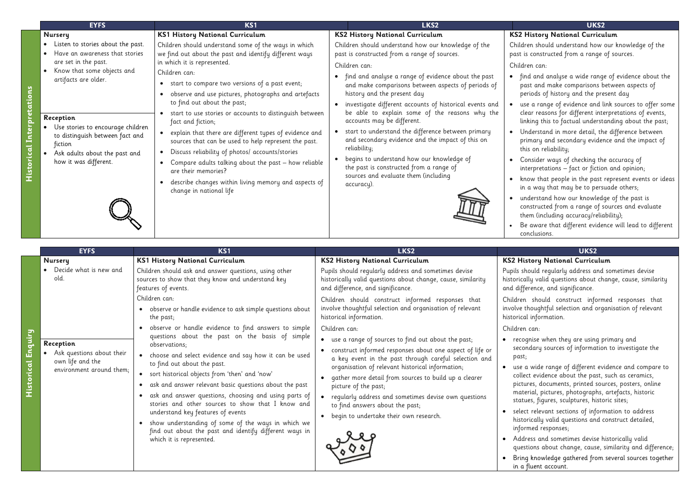|          | <b>EYFS</b>                                                                                                                                                                                                                                                                                                                   | <b>KS1</b>                                                                                                                                                                                                                                                                                                                                                                                                                                                                                                                                                                                                                                                                                          | LKS <sub>2</sub>                                                                                                                                                                                                                                                                                                                                                                                                                                                                                                                                                                                                                                                                                                | UKS2                                                                                                                                                                                                                                                                                                                                                                                                                                                                                                           |
|----------|-------------------------------------------------------------------------------------------------------------------------------------------------------------------------------------------------------------------------------------------------------------------------------------------------------------------------------|-----------------------------------------------------------------------------------------------------------------------------------------------------------------------------------------------------------------------------------------------------------------------------------------------------------------------------------------------------------------------------------------------------------------------------------------------------------------------------------------------------------------------------------------------------------------------------------------------------------------------------------------------------------------------------------------------------|-----------------------------------------------------------------------------------------------------------------------------------------------------------------------------------------------------------------------------------------------------------------------------------------------------------------------------------------------------------------------------------------------------------------------------------------------------------------------------------------------------------------------------------------------------------------------------------------------------------------------------------------------------------------------------------------------------------------|----------------------------------------------------------------------------------------------------------------------------------------------------------------------------------------------------------------------------------------------------------------------------------------------------------------------------------------------------------------------------------------------------------------------------------------------------------------------------------------------------------------|
| icq<br>8 | <b>Nursery</b><br>Listen to stories about the past.<br>Have an awareness that stories<br>are set in the past.<br>Know that some objects and<br>artifacts are older.<br>Reception<br>Use stories to encourage children<br>to distinguish between fact and<br>fiction<br>Ask adults about the past and<br>how it was different. | <b>KS1 History National Curriculum</b><br>Children should understand some of the ways in which<br>we find out about the past and identify different ways<br>in which it is represented.<br>Children can:<br>• start to compare two versions of a past event;<br>observe and use pictures, photographs and artefacts<br>$\bullet$<br>to find out about the past;<br>start to use stories or accounts to distinguish between<br>fact and fiction;<br>explain that there are different types of evidence and<br>sources that can be used to help represent the past.<br>Discuss reliability of photos/ accounts/stories<br>Compare adults talking about the past - how reliable<br>are their memories? | <b>KS2 History National Curriculum</b><br>Children should understand how our knowledge of the<br>past is constructed from a range of sources.<br>Children can:<br>find and analyse a range of evidence about the past<br>and make comparisons between aspects of periods of<br>history and the present day<br>investigate different accounts of historical events and<br>be able to explain some of the reasons why the<br>accounts may be different.<br>start to understand the difference between primary<br>and secondary evidence and the impact of this on<br>reliability;<br>begins to understand how our knowledge of<br>the past is constructed from a range of<br>sources and evaluate them (including | <b>KS2 History National Curricu</b><br>Children should understand how<br>past is constructed from a range<br>Children can:<br>find and analyse a wide rang<br>past and make comparisons b<br>periods of history and the pre<br>use a range of evidence and l<br>clear reasons for different inte<br>linking this to factual underst<br>Understand in more detail, th<br>primary and secondary evider<br>this on reliability;<br>Consider ways of checking the<br>interpretations - fact or fictio<br>$\bullet$ |
|          |                                                                                                                                                                                                                                                                                                                               | describe changes within living memory and aspects of<br>change in national life                                                                                                                                                                                                                                                                                                                                                                                                                                                                                                                                                                                                                     | accuracy).                                                                                                                                                                                                                                                                                                                                                                                                                                                                                                                                                                                                                                                                                                      | know that people in the past<br>in a way that may be to persi<br>understand how our knowled<br>constructed from a range of s<br>them (including accuracy/relia<br>Be aware that different evide<br>conclusions.                                                                                                                                                                                                                                                                                                |

|                              | <b>EYFS</b>                                                                            | KS1                                                                                                                                                                                                                                                                                                                                                                                                                                                                                                                                                                  | LKS2                                                                                                                                                                                                                                                                                                                                                                                                                                                      | UKS2                                                                                                                                                                                                                                                                                                                                                                                                                                                                  |
|------------------------------|----------------------------------------------------------------------------------------|----------------------------------------------------------------------------------------------------------------------------------------------------------------------------------------------------------------------------------------------------------------------------------------------------------------------------------------------------------------------------------------------------------------------------------------------------------------------------------------------------------------------------------------------------------------------|-----------------------------------------------------------------------------------------------------------------------------------------------------------------------------------------------------------------------------------------------------------------------------------------------------------------------------------------------------------------------------------------------------------------------------------------------------------|-----------------------------------------------------------------------------------------------------------------------------------------------------------------------------------------------------------------------------------------------------------------------------------------------------------------------------------------------------------------------------------------------------------------------------------------------------------------------|
|                              | <b>Nursery</b>                                                                         | <b>KS1 History National Curriculum</b>                                                                                                                                                                                                                                                                                                                                                                                                                                                                                                                               | <b>KS2 History National Curriculum</b>                                                                                                                                                                                                                                                                                                                                                                                                                    | <b>KS2 History National Curricu</b>                                                                                                                                                                                                                                                                                                                                                                                                                                   |
|                              | Decide what is new and<br>old.                                                         | Children should ask and answer questions, using other<br>sources to show that they know and understand key<br>features of events.                                                                                                                                                                                                                                                                                                                                                                                                                                    | Pupils should regularly address and sometimes devise<br>historically valid questions about change, cause, similarity<br>and difference, and significance.                                                                                                                                                                                                                                                                                                 | Pupils should regularly address a<br>historically valid questions about<br>and difference, and significance.                                                                                                                                                                                                                                                                                                                                                          |
|                              |                                                                                        | Children can:<br>observe or handle evidence to ask simple questions about<br>the past;                                                                                                                                                                                                                                                                                                                                                                                                                                                                               | Children should construct informed responses that<br>involve thoughtful selection and organisation of relevant<br>historical information.                                                                                                                                                                                                                                                                                                                 | Children should construct info<br>involve thoughtful selection and o<br>historical information.                                                                                                                                                                                                                                                                                                                                                                       |
|                              |                                                                                        | observe or handle evidence to find answers to simple                                                                                                                                                                                                                                                                                                                                                                                                                                                                                                                 | Children can:                                                                                                                                                                                                                                                                                                                                                                                                                                             | Children can:                                                                                                                                                                                                                                                                                                                                                                                                                                                         |
| Enquiry<br><u>Historical</u> | Reception<br>Ask questions about their<br>own life and the<br>environment around them; | questions about the past on the basis of simple<br>observations;<br>choose and select evidence and say how it can be used<br>to find out about the past.<br>• sort historical objects from 'then' and 'now'<br>ask and answer relevant basic questions about the past<br>ask and answer questions, choosing and using parts of<br>stories and other sources to show that I know and<br>understand key features of events<br>show understanding of some of the ways in which we<br>find out about the past and identify different ways in<br>which it is represented. | • use a range of sources to find out about the past;<br>• construct informed responses about one aspect of life or<br>a key event in the past through careful selection and<br>organisation of relevant historical information;<br>gather more detail from sources to build up a clearer<br>picture of the past;<br>• regularly address and sometimes devise own questions<br>to find answers about the past;<br>• begin to undertake their own research. | recognise when they are usine<br>secondary sources of informa<br>past;<br>use a wide range of different<br>collect evidence about the pas<br>pictures, documents, printed :<br>material, pictures, photograph<br>statues, figures, sculptures, hi<br>select relevant sections of inf<br>historically valid questions an<br>informed responses;<br>Address and sometimes devis<br>questions about change, caus<br>Bring knowledge gathered fro<br>in a fluent account. |

# **KRA** Story National Curriculum

should understand how our knowledge of the constructed from a range of sources.

and analyse a wide range of evidence about the and make comparisons between aspects of ds of history and the present day

a range of evidence and link sources to offer some reasons for different interpretations of events, ng this to factual understanding about the past;

erstand in more detail, the difference between iary and secondary evidence and the impact of on reliability;

ider ways of checking the accuracy of  $S<sub>1</sub>$  rpretations – fact or fiction and opinion;

w that people in the past represent events or ideas way that may be to persuade others;

erstand how our knowledge of the past is tructed from a range of sources and evaluate  $t$  (including accuracy/reliability);

ware that different evidence will lead to different lusions.

# **KS2 History National Curriculum**

hould regularly address and sometimes devise ally valid questions about change, cause, similarity erence, and significance.

should construct informed responses that thoughtful selection and organisation of relevant al information.

gnise when they are using primary and ndary sources of information to investigate the

a wide range of different evidence and compare to ect evidence about the past, such as ceramics, res, documents, printed sources, posters, online erial, pictures, photographs, artefacts, historic ues, figures, sculptures, historic sites;

ct relevant sections of information to address rically valid questions and construct detailed, med responses;

ress and sometimes devise historically valid tions about change, cause, similarity and difference;

g knowledge gathered from several sources together fluent account.